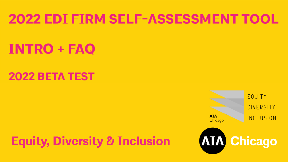#### **2022 EDI FIRM SELF-ASSESSMENT TOOL**

# **INTRO + FAQ**

#### **2022 BETA TEST**

**Equity, Diversity & Inclusion** 

EOUITY DIVERSITY **AIA** INCLUSION Chicago **AIA Chicago**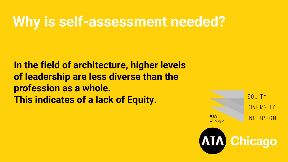#### **Why is self-assessment needed?**

**In the field of architecture, higher levels of leadership are less diverse than the profession as a whole. This indicates of a lack of Equity.**

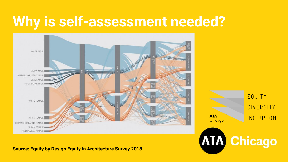### **Why is self-assessment needed?**



#### **Source: Equity by Design Equity in Architecture Survey 2018**

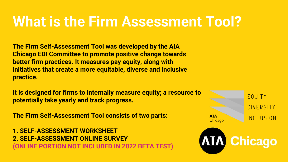### **What is the Firm Assessment Tool?**

**The Firm Self-Assessment Tool was developed by the AIA Chicago EDI Committee to promote positive change towards better firm practices. It measures pay equity, along with initiatives that create a more equitable, diverse and inclusive practice.**

**It is designed for firms to internally measure equity; a resource to potentially take yearly and track progress.**

**The Firm Self-Assessment Tool consists of two parts:**

**1. SELF-ASSESSMENT WORKSHEET 2. SELF-ASSESSMENT ONLINE SURVEY (ONLINE PORTION NOT INCLUDED IN 2022 BETA TEST)**

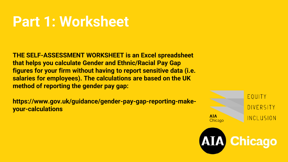#### **Part 1: Worksheet**

**THE SELF-ASSESSMENT WORKSHEET is an Excel spreadsheet that helps you calculate Gender and Ethnic/Racial Pay Gap figures for your firm without having to report sensitive data (i.e. salaries for employees). The calculations are based on the UK method of reporting the gender pay gap:**

**https://www.gov.uk/guidance/gender-pay-gap-reporting-makeyour-calculations**

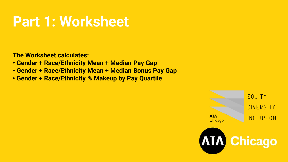#### **Part 1: Worksheet**

**The Worksheet calculates:**

- **Gender + Race/Ethnicity Mean + Median Pay Gap**
- **Gender + Race/Ethnicity Mean + Median Bonus Pay Gap**
- **Gender + Race/Ethnicity % Makeup by Pay Quartile**

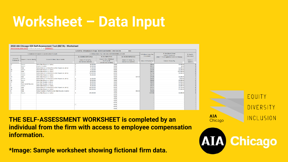# **Worksheet – Data Input**

#### 2022 AIA Chicago EDI Self-Assessment Tool (BETA) - Worksheet

| Current Pay - All Employees in Chicago - Do Not Count Overtime - Enter Data Into<br>ite Fields Only |                           |                                                              |        |                                                 |                                                                      |                                                 |                                      |                                                   |                       |  |  |  |  |
|-----------------------------------------------------------------------------------------------------|---------------------------|--------------------------------------------------------------|--------|-------------------------------------------------|----------------------------------------------------------------------|-------------------------------------------------|--------------------------------------|---------------------------------------------------|-----------------------|--|--|--|--|
| 1. Employee Demographics (use drop-down to input)                                                   |                           |                                                              |        |                                                 | 2. Ordinary (Base) Pay: Enter Data in EITHER 2b OR 2c, not both      |                                                 | 3. Ordinary Hourly Pay               | 4. Most Recent Bonus<br>(enter 0 if no bonus)     | 5. Quartile           |  |  |  |  |
| Column B:<br>Employee ID                                                                            |                           | Column D: Ethnic / Racial Identity<br>$-1$                   |        | <b>2a. SALARIED EMPLOYEES</b>                   | 2b. ALL EMPLOYEES                                                    | <b>2c. HOURLY EMPLOYEES</b>                     | (Calculated)<br>Column H: Hourly Pay | (Enter "-" if not eligible for most recent bonus) | (Calculated)          |  |  |  |  |
|                                                                                                     | Column C: Gender Identity |                                                              |        | Column E: Yearly Pay<br>(do not incd, overtime) | Column F: Hrs / Wk (Base)<br>Full Time=40<br>(do not incd. overtime) | Column G: Hourly Pay<br>(do not incd. overtime) |                                      | Column I: Bonus Pay                               | Column J:<br>Quartile |  |  |  |  |
| 17                                                                                                  | Female                    | White (Non Hispanic or Latino)                               |        | 60,000,00                                       | 40.00                                                                |                                                 | \$28.75                              | \$2,500.00                                        |                       |  |  |  |  |
|                                                                                                     | Female                    | Hispanic or Latino                                           |        | 45.000.00                                       | 20.00                                                                |                                                 | \$43.12                              | \$0.00                                            |                       |  |  |  |  |
|                                                                                                     | Male                      | Native American or Alaska Native (Not Hispanic or Latino)    |        | 75,000.00                                       | 40.00                                                                |                                                 | \$35.93                              | \$5,000.00                                        |                       |  |  |  |  |
| 10                                                                                                  | Female                    | White (Non Hispanic or Latino)                               |        | 75.000,00                                       | 40.00                                                                |                                                 | \$35.93                              | \$2,500.00                                        |                       |  |  |  |  |
|                                                                                                     | Male                      | White (Non Hispanic or Latino)                               |        | 60,000,00                                       | 40.00                                                                |                                                 | \$28.75                              | \$12,500.00                                       |                       |  |  |  |  |
|                                                                                                     | Female                    | Native American or Alaska Native (Not Hispanic or Latino)    |        | 120,000,00                                      | 40.00                                                                |                                                 | \$57.50                              | \$5,000.00                                        |                       |  |  |  |  |
|                                                                                                     | Female                    | White (Non Hispanic or Latino)                               |        | 95.000.00                                       | 40.00                                                                |                                                 | \$45.52                              |                                                   |                       |  |  |  |  |
|                                                                                                     | Male                      | White (Non Hispanic or Latino)                               |        |                                                 | 40.00                                                                | \$25.00                                         | \$25.00                              | \$5,000.00                                        |                       |  |  |  |  |
|                                                                                                     | Female                    | Native American or Alaska Native (Not Hispanic or Latino)    |        | 55,000.00                                       | 40.00                                                                |                                                 | \$26.35                              | \$350.00                                          |                       |  |  |  |  |
| 10                                                                                                  | Female                    | White (Non Hispanic or Latino)                               |        | 55.000.00                                       | 40.00                                                                |                                                 | \$26.35                              | \$5,000.00                                        |                       |  |  |  |  |
|                                                                                                     | Male                      | Asian (Not Hispanic or Latino)                               |        | 60,000,00                                       | 40.00                                                                |                                                 | \$28.75                              | \$2,500.00                                        |                       |  |  |  |  |
|                                                                                                     | Prefer to Self Describe   | Asian (Not Hispanic or Latino)                               |        | 80,000.00                                       | 40.00                                                                |                                                 | \$38.33                              | \$2,500.00                                        |                       |  |  |  |  |
|                                                                                                     | Female                    | White (Non Hispanic or Latino)                               |        | 95,000.00                                       | 40.00                                                                |                                                 | \$45.52                              | \$3,000.00                                        |                       |  |  |  |  |
|                                                                                                     | Male                      | Native American or Alaska Native (Not Hispanic or Latino)    |        | 100,000.00                                      | 40.00                                                                |                                                 | \$47.91                              | \$2,750.00                                        |                       |  |  |  |  |
|                                                                                                     | Male                      | White (Non Hispanic or Latino)                               |        | 100.000,00                                      | 40.00                                                                |                                                 | \$47.91                              | \$7,500.00                                        |                       |  |  |  |  |
|                                                                                                     | Male                      | Native Hawaiian or Pacific Islander (Not Hispanic or Latino) |        |                                                 | 40.00                                                                | \$50.00                                         | \$50,00                              |                                                   |                       |  |  |  |  |
| 11                                                                                                  | Female                    | White (Non Hispanic or Latino)                               |        | 225,000,00                                      | 40,00                                                                |                                                 | \$107.80                             | \$3,000.00                                        |                       |  |  |  |  |
|                                                                                                     |                           |                                                              |        |                                                 | 40.00                                                                |                                                 |                                      |                                                   |                       |  |  |  |  |
|                                                                                                     |                           |                                                              |        |                                                 | 40.00                                                                |                                                 |                                      |                                                   |                       |  |  |  |  |
|                                                                                                     |                           |                                                              |        |                                                 | 40.00                                                                |                                                 |                                      |                                                   |                       |  |  |  |  |
|                                                                                                     |                           |                                                              |        |                                                 | 40.00                                                                |                                                 |                                      |                                                   |                       |  |  |  |  |
|                                                                                                     |                           |                                                              |        |                                                 | 40.00                                                                |                                                 |                                      |                                                   |                       |  |  |  |  |
|                                                                                                     |                           |                                                              | $\sim$ |                                                 | 40.00                                                                |                                                 |                                      |                                                   |                       |  |  |  |  |
|                                                                                                     |                           |                                                              |        |                                                 | 40.00                                                                |                                                 |                                      |                                                   |                       |  |  |  |  |
|                                                                                                     |                           |                                                              |        |                                                 | 40.00                                                                |                                                 |                                      |                                                   |                       |  |  |  |  |

**THE SELF-ASSESSMENT WORKSHEET is completed by an individual from the firm with access to employee compensation information.**

**\*Image: Sample worksheet showing fictional firm data.**

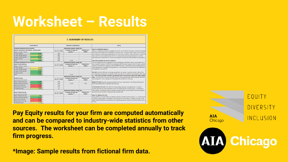## **Worksheet – Results**

| <b>7. SUMMARY OF RESULTS</b>                                               |                                     |                                                |                        |                                                                                                                                                                                                                                                            |  |  |  |  |  |  |  |  |
|----------------------------------------------------------------------------|-------------------------------------|------------------------------------------------|------------------------|------------------------------------------------------------------------------------------------------------------------------------------------------------------------------------------------------------------------------------------------------------|--|--|--|--|--|--|--|--|
| <b>YOUR RESULTS</b>                                                        |                                     | <b>INDUSTRY COMPARISON</b>                     |                        | <b>NOTES</b>                                                                                                                                                                                                                                               |  |  |  |  |  |  |  |  |
| <b>Employee Distribution by Pay Quartile:</b>                              | Architecture Industry Overall, Per: |                                                |                        |                                                                                                                                                                                                                                                            |  |  |  |  |  |  |  |  |
| Women, Non-Binary, Third-Gender, Self-Described<br>(Higher Number is Good) | Gov.UK* (2021)                      | <b>US Bureau of Labor and</b><br>Statistics.** | Payscale.com<br>(2021) | <b>HOW TO INTERPRATE RESULTS</b><br>Equity is a complex and involves intangible factors that can be difficult to measure, especially at smaller<br>firms with small sample sizes of employees to pull data from. Therefore, these results are not meant to |  |  |  |  |  |  |  |  |
| 66.7% use<br>1-Lower quartile                                              | 50%                                 |                                                |                        | be an absolute or all-encompassing indication of a firm's level of equity. Rather, this tool is a useful first                                                                                                                                             |  |  |  |  |  |  |  |  |
| 2-Lower middle quartile<br>40.0% un                                        | 46%                                 |                                                |                        | step to start the conversation on how the firm is performing in terms of pay equity how it can find                                                                                                                                                        |  |  |  |  |  |  |  |  |
| 3-Upper middle quartile<br>$100.0\%$ uss                                   | 39%                                 |                                                |                        | potential areas of improvement. Firms are encouraged to complete the tool annually to track progress.                                                                                                                                                      |  |  |  |  |  |  |  |  |
| 4-Upper quartile<br>$40.0\%$ <sub>M32</sub>                                | 28%                                 |                                                |                        |                                                                                                                                                                                                                                                            |  |  |  |  |  |  |  |  |
| 58.8%<br>Total                                                             | 41%                                 | 25.0%                                          |                        | <b>EMPLOYEE DISTRIBUTION BY PAY QUARTILE</b>                                                                                                                                                                                                               |  |  |  |  |  |  |  |  |
| <b>Employee Distribution by Pay Quartile:</b>                              | Architecture Industry Overall, Per: |                                                |                        | This chart divides the firm's employees into four equal groups, distributed by pay. For example, the "1-                                                                                                                                                   |  |  |  |  |  |  |  |  |
| Racial / Ethnic Minority                                                   | Gov.UK* (2021)                      | <b>US Bureau of Labor and</b>                  | Payscale.com           | lower quartile" contains 1/4 of the firm's employees with the lowest base pay, while "4- upper quartile                                                                                                                                                    |  |  |  |  |  |  |  |  |
| (Higher Number is Good)                                                    |                                     | Statistics. <sup>**</sup>                      | (2021)                 | contains 1/4 of the firm's employees with the highest base pay. Historically, non-dominant groups are                                                                                                                                                      |  |  |  |  |  |  |  |  |
| 33.3% MAIL<br>1-Lower quartile                                             |                                     |                                                |                        | under-represented in the higher earning quartiles. A more equitable firm would have even distribution                                                                                                                                                      |  |  |  |  |  |  |  |  |
| 40.0%<br>2-Lower middle quartile                                           |                                     |                                                |                        | among groups in all quartiles.                                                                                                                                                                                                                             |  |  |  |  |  |  |  |  |
| 3-Upper middle quartile<br>50.0% MAS                                       |                                     |                                                |                        | PAY GAP shows the difference in average pay between two groups. A positive number indicates the                                                                                                                                                            |  |  |  |  |  |  |  |  |
| 4-Upper quartile<br>60.0% MA                                               |                                     |                                                |                        | non-majority group has lower average pay, while a pay gap of zero indicates the two groups have equal                                                                                                                                                      |  |  |  |  |  |  |  |  |
| Total<br>$47.1\%$                                                          |                                     | 14.7%                                          |                        | pay. A Pay Gap is primarily caused by a group being under-represented in higher-level, higher-paying                                                                                                                                                       |  |  |  |  |  |  |  |  |
|                                                                            | Architecture Industry Overall, Per: |                                                |                        | roles. A Pay Gap does not necessarily indicate that a firm is paying equally qualified people differmtly                                                                                                                                                   |  |  |  |  |  |  |  |  |
| <b>Gender Pay Gap</b><br>(Lower Number is Good)                            | Gov.UK* (2021)                      | <b>US Bureau of Labor and</b><br>Statistics.** | Payscale.com<br>(2021) | based on gender or race, although such inequality will contribute to a Pay Gap.                                                                                                                                                                            |  |  |  |  |  |  |  |  |
| $-20.6%$ <sub>M32</sub><br>Mean Ordinary Pay Gap                           | 16%                                 |                                                |                        | BONUS PAY GAP shows the pay gap specifically for bonus compensation. Discretionary Bonus pay is                                                                                                                                                            |  |  |  |  |  |  |  |  |
| $-13.3\%$<br>Median Ordinary Pay Gap                                       | 14%                                 | 15.0%                                          | 6.0%                   | historically distributed less equitably than base pay.                                                                                                                                                                                                     |  |  |  |  |  |  |  |  |
| Mean Bonus Pay Gap<br>54.9% use                                            | 33%                                 |                                                |                        |                                                                                                                                                                                                                                                            |  |  |  |  |  |  |  |  |
| Median Bonus Pay Gap<br>50.0% uss                                          | 13%                                 |                                                |                        | % PAID BONUS PAY GAP is the difference in percentage of groups receiving bonuses. A positive                                                                                                                                                               |  |  |  |  |  |  |  |  |
| 10.0% use<br>% Paid Bonus Gap                                              | 1%                                  |                                                |                        | number indicates that fewer employees in the non-majority group received a bonus. For example if                                                                                                                                                           |  |  |  |  |  |  |  |  |
|                                                                            | Architecture Industry Overall, Per: |                                                |                        | 50% of White, Non-Hispanic/Latino employees received a bonus, but only 40% of minority employees                                                                                                                                                           |  |  |  |  |  |  |  |  |
| Racial / Ethnic Pay Gap                                                    | Gov.UK* (2021)                      | <b>US Bureau of Labor and</b>                  | Payscale.com           | received a bonus, then the % Paid Bonus Gap would be 10%.                                                                                                                                                                                                  |  |  |  |  |  |  |  |  |
| (Lower Number is Good)                                                     |                                     | Statistics.**                                  | (2021)                 | <b>MEAN VS. MEDIAN PAY GAP</b>                                                                                                                                                                                                                             |  |  |  |  |  |  |  |  |
| $5.8\%$ <sub>M6</sub><br>Mean Ordinary Pay Gap                             |                                     |                                                |                        | A large difference between Mean and Median Pay Gap is usually caused by outliers; I.E. a small number                                                                                                                                                      |  |  |  |  |  |  |  |  |
| Median Ordinary Pay Gap<br>$-13.3%$                                        |                                     |                                                |                        | of employees with salaries much higher or lower than their counterparts. The Mean Pay Gap is often                                                                                                                                                         |  |  |  |  |  |  |  |  |
| 49.5% up<br>Mean Bonus Pay Gap                                             |                                     |                                                |                        | higher than the Median Pay Gap because non-majority groups are underrepresented as the top earners                                                                                                                                                         |  |  |  |  |  |  |  |  |
| 37.5% us<br>Median Bonus Pay Gap                                           |                                     |                                                |                        | in firms.                                                                                                                                                                                                                                                  |  |  |  |  |  |  |  |  |
| 12.5%<br>% Paid Bonus Gap                                                  |                                     |                                                |                        |                                                                                                                                                                                                                                                            |  |  |  |  |  |  |  |  |

**Pay Equity results for your firm are computed automatically and can be compared to industry-wide statistics from other sources. The worksheet can be completed annually to track firm progress.**

**\*Image: Sample results from fictional firm data.**

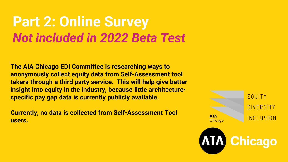#### **Part 2: Online Survey** *Not included in 2022 Beta Test*

**The AIA Chicago EDI Committee is researching ways to anonymously collect equity data from Self-Assessment tool takers through a third party service. This will help give better insight into equity in the industry, because little architecturespecific pay gap data is currently publicly available.**

**Currently, no data is collected from Self-Assessment Tool users.**

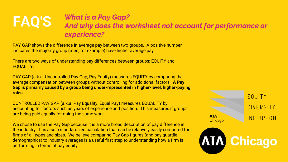#### **FAQ'S** *What is a Pay Gap? And why does the worksheet not account for performance or experience?*

PAY GAP shows the difference in average pay between two groups. A positive number indicates the majority group (men, for example) have higher average pay.

There are two ways of understanding pay differences between groups: EQUITY and EQUALITY.

PAY GAP (a.k.a. Uncontrolled Pay Gap, Pay Equity) measures EQUITY by comparing the average compensation between groups without controlling for additional factors. **A Pay Gap is primarily caused by a group being under-represented in higher-level, higher-paying roles.**

CONTROLLED PAY GAP (a.k.a. Pay Equality, Equal Pay) measures EQUALITY by accounting for factors such as years of experience and position. This measures if groups are being paid equally for doing the same work.

We chose to use the Pay Gap because it is a more broad description of pay difference in the industry. It is also a standardized calculation that can be relatively easily computed for firms of all types and sizes. We believe comparing Pay Gap figures (and pay quartile demographics) to industry averages is a useful first step to understanding how a firm is performing in terms of pay equity.

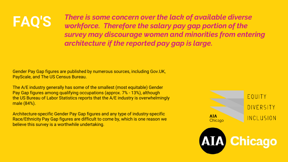# **FAQ'S**

*There is some concern over the lack of available diverse workforce. Therefore the salary pay gap portion of the survey may discourage women and minorities from entering architecture if the reported pay gap is large.*

Gender Pay Gap figures are published by numerous sources, including Gov.UK, PayScale, and The US Census Bureau.

The A/E industry generally has some of the smallest (most equitable) Gender Pay Gap figures among qualifying occupations (approx. 7% - 13%), although the US Bureau of Labor Statistics reports that the A/E industry is overwhelmingly male (84%).

Architecture-specific Gender Pay Gap figures and any type of industry-specific Race/Ethnicity Pay Gap figures are difficult to come by, which is one reason we believe this survey is a worthwhile undertaking.